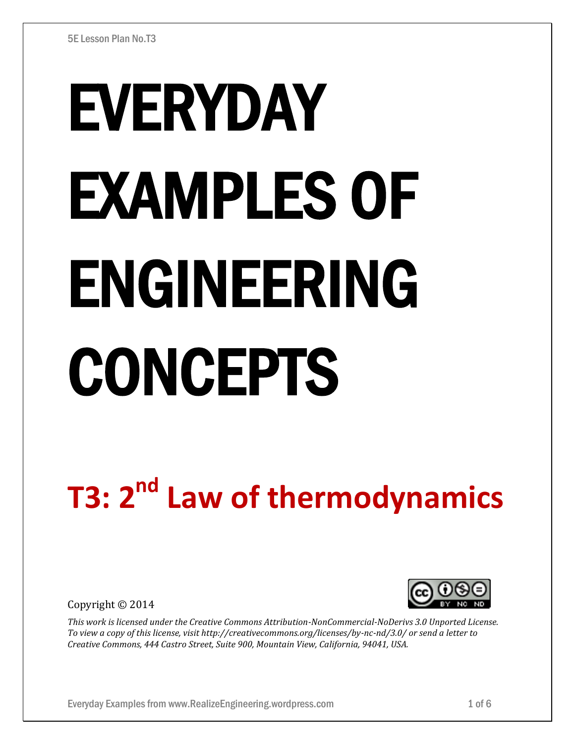# EVERYDAY EXAMPLES OF ENGINEERING CONCEPTS

# **T3: 2 nd Law of thermodynamics**

Copyright © 2014



*This work is licensed under the Creative Commons Attribution-NonCommercial-NoDerivs 3.0 Unported License. To view a copy of this license, visit http://creativecommons.org/licenses/by-nc-nd/3.0/ or send a letter to Creative Commons, 444 Castro Street, Suite 900, Mountain View, California, 94041, USA.*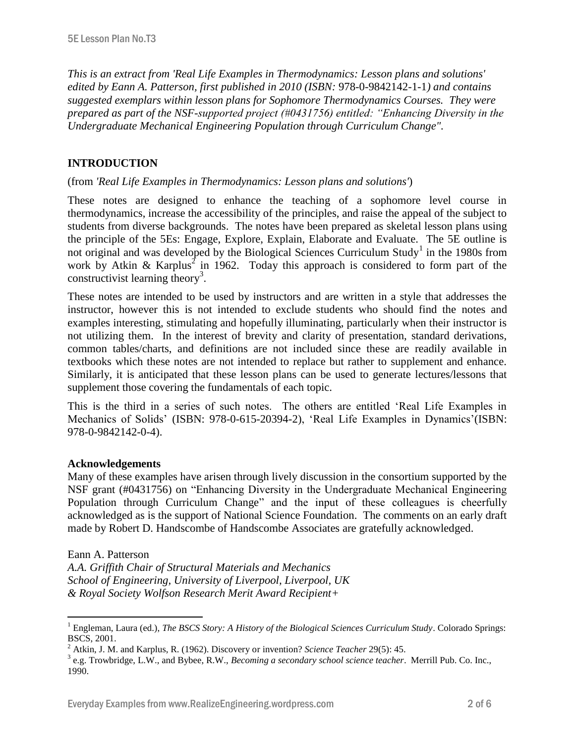*This is an extract from 'Real Life Examples in Thermodynamics: Lesson plans and solutions' edited by Eann A. Patterson, first published in 2010 (ISBN:* 978-0-9842142-1-1*) and contains suggested exemplars within lesson plans for Sophomore Thermodynamics Courses. They were prepared as part of the NSF-supported project (#0431756) entitled: "Enhancing Diversity in the Undergraduate Mechanical Engineering Population through Curriculum Change".* 

# **INTRODUCTION**

### (from *'Real Life Examples in Thermodynamics: Lesson plans and solutions'*)

These notes are designed to enhance the teaching of a sophomore level course in thermodynamics, increase the accessibility of the principles, and raise the appeal of the subject to students from diverse backgrounds. The notes have been prepared as skeletal lesson plans using the principle of the 5Es: Engage, Explore, Explain, Elaborate and Evaluate. The 5E outline is not original and was developed by the Biological Sciences Curriculum Study<sup>1</sup> in the 1980s from work by Atkin & Karplus<sup>2</sup> in 1962. Today this approach is considered to form part of the constructivist learning theory<sup>3</sup>.

These notes are intended to be used by instructors and are written in a style that addresses the instructor, however this is not intended to exclude students who should find the notes and examples interesting, stimulating and hopefully illuminating, particularly when their instructor is not utilizing them. In the interest of brevity and clarity of presentation, standard derivations, common tables/charts, and definitions are not included since these are readily available in textbooks which these notes are not intended to replace but rather to supplement and enhance. Similarly, it is anticipated that these lesson plans can be used to generate lectures/lessons that supplement those covering the fundamentals of each topic.

This is the third in a series of such notes. The others are entitled 'Real Life Examples in Mechanics of Solids' (ISBN: 978-0-615-20394-2), 'Real Life Examples in Dynamics'(ISBN: 978-0-9842142-0-4).

#### **Acknowledgements**

Many of these examples have arisen through lively discussion in the consortium supported by the NSF grant (#0431756) on "Enhancing Diversity in the Undergraduate Mechanical Engineering Population through Curriculum Change" and the input of these colleagues is cheerfully acknowledged as is the support of National Science Foundation. The comments on an early draft made by Robert D. Handscombe of Handscombe Associates are gratefully acknowledged.

#### Eann A. Patterson

 $\overline{a}$ 

*A.A. Griffith Chair of Structural Materials and Mechanics School of Engineering, University of Liverpool, Liverpool, UK & Royal Society Wolfson Research Merit Award Recipient+*

<sup>1</sup> Engleman, Laura (ed.), *The BSCS Story: A History of the Biological Sciences Curriculum Study*. Colorado Springs: BSCS, 2001.

<sup>2</sup> Atkin, J. M. and Karplus, R. (1962). Discovery or invention? *Science Teacher* 29(5): 45.

<sup>3</sup> e.g. Trowbridge, L.W., and Bybee, R.W., *Becoming a secondary school science teacher*. Merrill Pub. Co. Inc., 1990.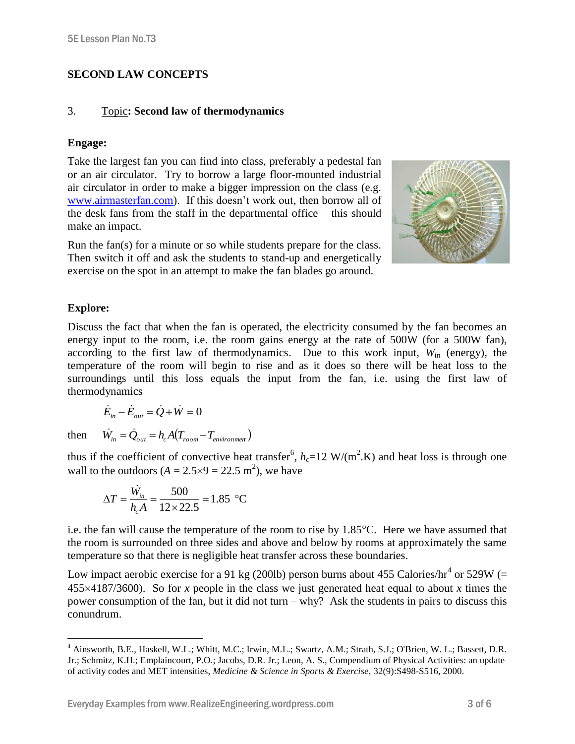# **SECOND LAW CONCEPTS**

#### 3. Topic**: Second law of thermodynamics**

### **Engage:**

Take the largest fan you can find into class, preferably a pedestal fan or an air circulator. Try to borrow a large floor-mounted industrial air circulator in order to make a bigger impression on the class (e.g. [www.airmasterfan.com\)](http://www.airmasterfan.com/). If this doesn't work out, then borrow all of the desk fans from the staff in the departmental office – this should make an impact.

Run the fan(s) for a minute or so while students prepare for the class. Then switch it off and ask the students to stand-up and energetically exercise on the spot in an attempt to make the fan blades go around.



## **Explore:**

Discuss the fact that when the fan is operated, the electricity consumed by the fan becomes an energy input to the room, i.e. the room gains energy at the rate of 500W (for a 500W fan), according to the first law of thermodynamics. Due to this work input,  $W_{in}$  (energy), the temperature of the room will begin to rise and as it does so there will be heat loss to the surroundings until this loss equals the input from the fan, i.e. using the first law of thermodynamics

$$
\dot{E}_{in} - \dot{E}_{out} = \dot{Q} + \dot{W} = 0
$$

then

 $\overline{a}$ 

thus if the coefficient of convective heat transfer<sup>6</sup>,  $h_c=12 \text{ W/(m}^2 \text{K})$  and heat loss is through one wall to the outdoors  $(A = 2.5 \times 9 = 22.5 \text{ m}^2)$ , we have

$$
\Delta T = \frac{\dot{W}_{in}}{h_c A} = \frac{500}{12 \times 22.5} = 1.85 \text{ °C}
$$

 $\dot{W}_{in} = \dot{Q}_{out} = h_c A (T_{room} - T_{environment})$ 

i.e. the fan will cause the temperature of the room to rise by  $1.85^{\circ}$ C. Here we have assumed that the room is surrounded on three sides and above and below by rooms at approximately the same temperature so that there is negligible heat transfer across these boundaries.

Low impact aerobic exercise for a 91 kg (200lb) person burns about 455 Calories/hr<sup>4</sup> or 529W (= 4554187/3600). So for *x* people in the class we just generated heat equal to about *x* times the power consumption of the fan, but it did not turn – why? Ask the students in pairs to discuss this conundrum.

<sup>4</sup> Ainsworth, B.E., Haskell, W.L.; Whitt, M.C.; Irwin, M.L.; Swartz, A.M.; Strath, S.J.; O'Brien, W. L.; Bassett, D.R. Jr.; Schmitz, K.H.; Emplaincourt, P.O.; Jacobs, D.R. Jr.; Leon, A. S., Compendium of Physical Activities: an update of activity codes and MET intensities, *Medicine & Science in Sports & Exercise*, 32(9):S498-S516, 2000.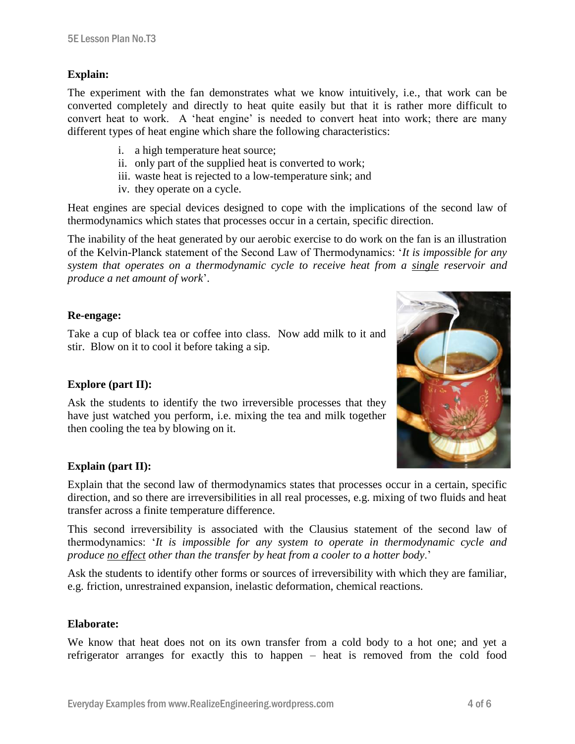#### **Explain:**

The experiment with the fan demonstrates what we know intuitively, i.e., that work can be converted completely and directly to heat quite easily but that it is rather more difficult to convert heat to work. A 'heat engine' is needed to convert heat into work; there are many different types of heat engine which share the following characteristics:

- i. a high temperature heat source;
- ii. only part of the supplied heat is converted to work;
- iii. waste heat is rejected to a low-temperature sink; and
- iv. they operate on a cycle.

Heat engines are special devices designed to cope with the implications of the second law of thermodynamics which states that processes occur in a certain, specific direction.

The inability of the heat generated by our aerobic exercise to do work on the fan is an illustration of the Kelvin-Planck statement of the Second Law of Thermodynamics: '*It is impossible for any system that operates on a thermodynamic cycle to receive heat from a single reservoir and produce a net amount of work*'.

#### **Re-engage:**

Take a cup of black tea or coffee into class. Now add milk to it and stir. Blow on it to cool it before taking a sip.

#### **Explore (part II):**

Ask the students to identify the two irreversible processes that they have just watched you perform, i.e. mixing the tea and milk together then cooling the tea by blowing on it.

#### **Explain (part II):**

Explain that the second law of thermodynamics states that processes occur in a certain, specific direction, and so there are irreversibilities in all real processes, e.g. mixing of two fluids and heat transfer across a finite temperature difference.

This second irreversibility is associated with the Clausius statement of the second law of thermodynamics: '*It is impossible for any system to operate in thermodynamic cycle and produce no effect other than the transfer by heat from a cooler to a hotter body*.'

Ask the students to identify other forms or sources of irreversibility with which they are familiar, e.g. friction, unrestrained expansion, inelastic deformation, chemical reactions.

#### **Elaborate:**

We know that heat does not on its own transfer from a cold body to a hot one; and yet a refrigerator arranges for exactly this to happen – heat is removed from the cold food

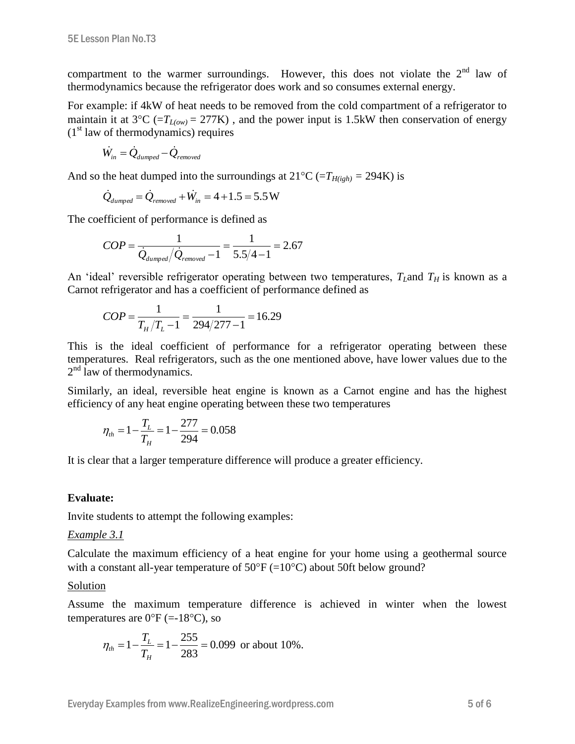compartment to the warmer surroundings. However, this does not violate the  $2<sup>nd</sup>$  law of thermodynamics because the refrigerator does work and so consumes external energy.

For example: if 4kW of heat needs to be removed from the cold compartment of a refrigerator to maintain it at  $3^{\circ}\text{C}$  (= $T_{L(ow)} = 277\text{K}$ ), and the power input is 1.5kW then conservation of energy  $(1<sup>st</sup>$  law of thermodynamics) requires

$$
\dot{W}_{in} = \dot{Q}_{dumped} - \dot{Q}_{removed}
$$

And so the heat dumped into the surroundings at  $21^{\circ}C$  ( $=T_{H(igh)} = 294K$ ) is

$$
\dot{Q}_{dumped} = \dot{Q}_{removed} + \dot{W}_{in} = 4 + 1.5 = 5.5 W
$$

The coefficient of performance is defined as

$$
COP = \frac{1}{\dot{Q}_{dumped}/\dot{Q}_{removed} - 1} = \frac{1}{5.5/4 - 1} = 2.67
$$

An 'ideal' reversible refrigerator operating between two temperatures,  $T_I$  and  $T_H$  is known as a Carnot refrigerator and has a coefficient of performance defined as

$$
COP = \frac{1}{T_H/T_L - 1} = \frac{1}{294/277 - 1} = 16.29
$$

This is the ideal coefficient of performance for a refrigerator operating between these temperatures. Real refrigerators, such as the one mentioned above, have lower values due to the 2<sup>nd</sup> law of thermodynamics.

Similarly, an ideal, reversible heat engine is known as a Carnot engine and has the highest efficiency of any heat engine operating between these two temperatures

$$
\eta_{th} = 1 - \frac{T_L}{T_H} = 1 - \frac{277}{294} = 0.058
$$

It is clear that a larger temperature difference will produce a greater efficiency.

#### **Evaluate:**

Invite students to attempt the following examples:

#### *Example 3.1*

Calculate the maximum efficiency of a heat engine for your home using a geothermal source with a constant all-year temperature of  $50^{\circ}F = (10^{\circ}C)$  about 50ft below ground?

#### Solution

Assume the maximum temperature difference is achieved in winter when the lowest temperatures are  $0^{\circ}$ F (=-18<sup>o</sup>C), so

$$
\eta_{th} = 1 - \frac{T_L}{T_H} = 1 - \frac{255}{283} = 0.099 \text{ or about } 10\%.
$$